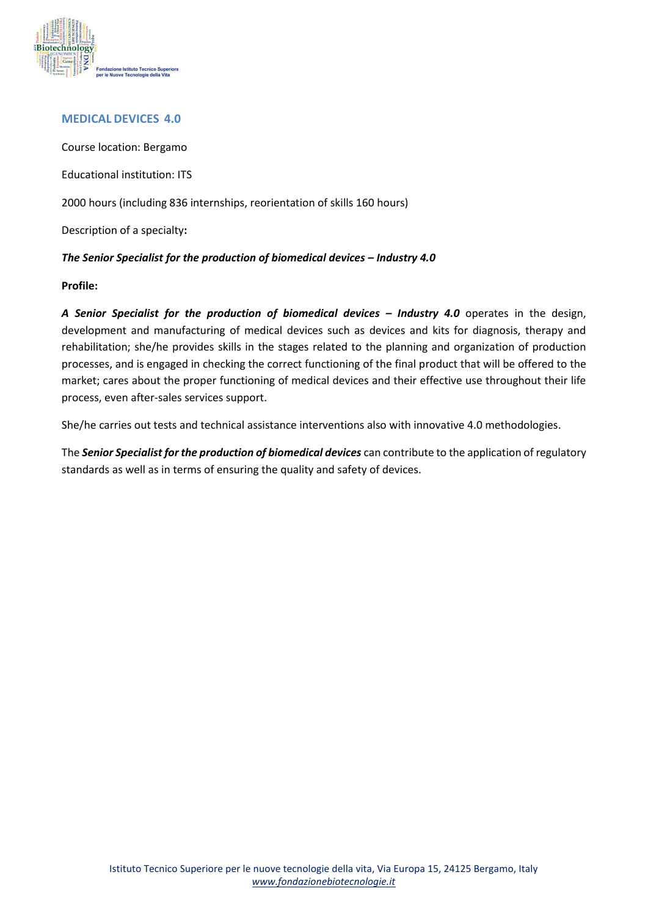

## **MEDICAL DEVICES 4.0**

Course location: Bergamo Educational institution: ITS 2000 hours (including 836 internships, reorientation of skills 160 hours) Description of a specialty**:**  *The Senior Specialist for the production of biomedical devices – Industry 4.0*

## **Profile:**

*A Senior Specialist for the production of biomedical devices – Industry 4.0* operates in the design, development and manufacturing of medical devices such as devices and kits for diagnosis, therapy and rehabilitation; she/he provides skills in the stages related to the planning and organization of production processes, and is engaged in checking the correct functioning of the final product that will be offered to the market; cares about the proper functioning of medical devices and their effective use throughout their life process, even after-sales services support.

She/he carries out tests and technical assistance interventions also with innovative 4.0 methodologies.

The *Senior Specialist for the production of biomedical devices* can contribute to the application of regulatory standards as well as in terms of ensuring the quality and safety of devices.